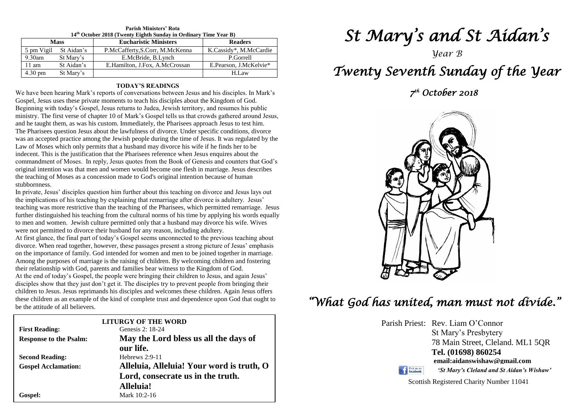| $14th$ October 2018 (Twenty Eighth Sunday in Ordinary Time Year B) |            |                                 |                        |  |  |  |  |
|--------------------------------------------------------------------|------------|---------------------------------|------------------------|--|--|--|--|
| <b>Mass</b>                                                        |            | <b>Eucharistic Ministers</b>    | <b>Readers</b>         |  |  |  |  |
| 5 pm Vigil                                                         | St Aidan's | P.McCafferty, S.Corr, M.McKenna | K.Cassidy*, M.McCardie |  |  |  |  |
| $9.30$ am                                                          | St Mary's  | E.McBride, B.Lynch              | P.Gorrell              |  |  |  |  |
| 11 am                                                              | St Aidan's | E.Hamilton, J.Fox, A.McCrossan  | E.Pearson, J.McKelvie* |  |  |  |  |
| 4.30 pm                                                            | St Mary's  |                                 | H.Law                  |  |  |  |  |

**Parish Ministers' Rota**

#### **TODAY'S READINGS**

We have been hearing Mark's reports of conversations between Jesus and his disciples. In Mark's Gospel, Jesus uses these private moments to teach his disciples about the Kingdom of God. Beginning with today's Gospel, Jesus returns to Judea, Jewish territory, and resumes his public ministry. The first verse of chapter 10 of Mark's Gospel tells us that crowds gathered around Jesus, and he taught them, as was his custom. Immediately, the Pharisees approach Jesus to test him. The Pharisees question Jesus about the lawfulness of divorce. Under specific conditions, divorce was an accepted practice among the Jewish people during the time of Jesus. It was regulated by the Law of Moses which only permits that a husband may divorce his wife if he finds her to be indecent. This is the justification that the Pharisees reference when Jesus enquires about the commandment of Moses. In reply, Jesus quotes from the Book of Genesis and counters that God's original intention was that men and women would become one flesh in marriage. Jesus describes the teaching of Moses as a concession made to God's original intention because of human stubbornness.

further distinguished his teaching from the cultural norms of his time by applying his words equ<br>to men and women. Jewish culture permitted only that a husband may divorce his wife. Wives<br>were not normitted to divorce thei In private, Jesus' disciples question him further about this teaching on divorce and Jesus lays out the implications of his teaching by explaining that remarriage after divorce is adultery. Jesus' teaching was more restrictive than the teaching of the Pharisees, which permitted remarriage. Jesus further distinguished his teaching from the cultural norms of his time by applying his words equally were not permitted to divorce their husband for any reason, including adultery.

At first glance, the final part of today's Gospel seems unconnected to the previous teaching about<br>divorce. When read together, however, these passages present a strong picture of Jesus' emphasis<br>on the importance of famil Among the purposes of marriage is the raising of children. By welcoming children and<br>their relationship with God, parents and families bear witness to the Kingdom of God.<br>At the and af taday's Geanal, the nearle were bring disciples show that they just don't get it. The disciples try to prevent people from bringing their<br>children to Jesus. Jesus reprimands his disciples and welcomes these children. Again Jesus offers<br>these children as an aya At first glance, the final part of today's Gospel seems unconnected to the previous teaching about on the importance of family. God intended for women and men to be joined together in marriage. Among the purposes of marriage is the raising of children. By welcoming children and fostering At the end of today's Gospel, the people were bringing their children to Jesus, and again Jesus' disciples show that they just don't get it. The disciples try to prevent people from bringing their these children as an example of the kind of complete trust and dependence upon God that ought to be the attitude of all believers.

| be the attitude of all believers. |                                           |  |  |  |
|-----------------------------------|-------------------------------------------|--|--|--|
|                                   | <b>LITURGY OF THE WORD</b>                |  |  |  |
| <b>First Reading:</b>             | Genesis 2: 18-24                          |  |  |  |
| <b>Response to the Psalm:</b>     | May the Lord bless us all the days of     |  |  |  |
|                                   | our life.                                 |  |  |  |
| <b>Second Reading:</b>            | Hebrews $2:9-11$                          |  |  |  |
| <b>Gospel Acclamation:</b>        | Alleluia, Alleluia! Your word is truth, O |  |  |  |
|                                   | Lord, consecrate us in the truth.         |  |  |  |
|                                   | Alleluia!                                 |  |  |  |
| Gospel:                           | Mark 10:2-16                              |  |  |  |
|                                   |                                           |  |  |  |

# *St Mary's and St Aidan's*

*Year B*

# *Twenty Seventh Sunday of the Year*

 *7 th October 2018* 



# *"What God has united, man must not divide."*

Parish Priest: Rev. Liam O'Connor St Mary's Presbytery 78 Main Street, Cleland. ML1 5QR **Tel. (01698) 860254 email:aidanswishaw@gmail.com** Find us on *'St Mary's Cleland and St Aidan's Wishaw'*

Scottish Registered Charity Number 11041